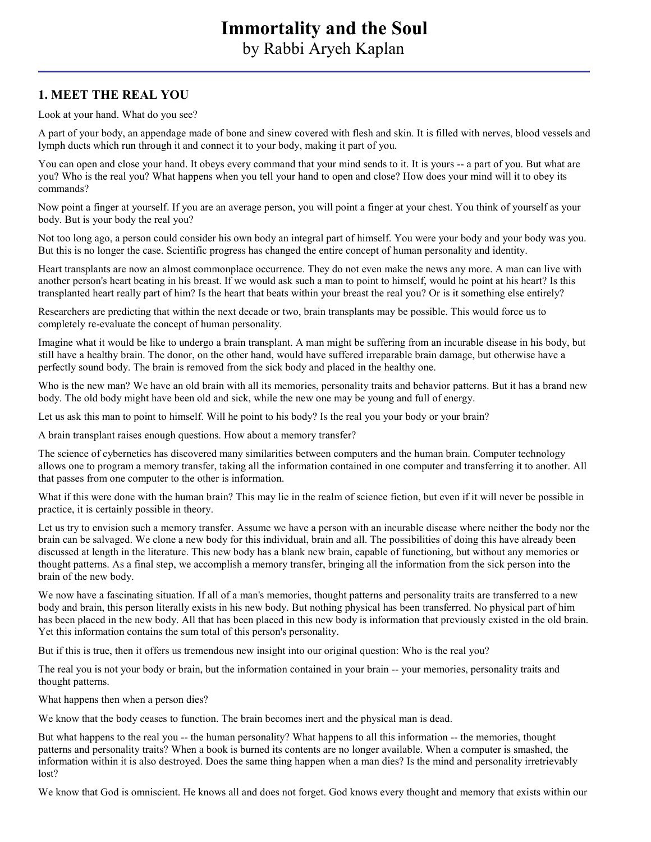## **1. MEET THE REAL YOU**

Look at your hand. What do you see?

A part of your body, an appendage made of bone and sinew covered with flesh and skin. It is filled with nerves, blood vessels and lymph ducts which run through it and connect it to your body, making it part of you.

You can open and close your hand. It obeys every command that your mind sends to it. It is yours -- a part of you. But what are you? Who is the real you? What happens when you tell your hand to open and close? How does your mind will it to obey its commands?

Now point a finger at yourself. If you are an average person, you will point a finger at your chest. You think of yourself as your body. But is your body the real you?

Not too long ago, a person could consider his own body an integral part of himself. You were your body and your body was you. But this is no longer the case. Scientific progress has changed the entire concept of human personality and identity.

Heart transplants are now an almost commonplace occurrence. They do not even make the news any more. A man can live with another person's heart beating in his breast. If we would ask such a man to point to himself, would he point at his heart? Is this transplanted heart really part of him? Is the heart that beats within your breast the real you? Or is it something else entirely?

Researchers are predicting that within the next decade or two, brain transplants may be possible. This would force us to completely re-evaluate the concept of human personality.

Imagine what it would be like to undergo a brain transplant. A man might be suffering from an incurable disease in his body, but still have a healthy brain. The donor, on the other hand, would have suffered irreparable brain damage, but otherwise have a perfectly sound body. The brain is removed from the sick body and placed in the healthy one.

Who is the new man? We have an old brain with all its memories, personality traits and behavior patterns. But it has a brand new body. The old body might have been old and sick, while the new one may be young and full of energy.

Let us ask this man to point to himself. Will he point to his body? Is the real you your body or your brain?

A brain transplant raises enough questions. How about a memory transfer?

The science of cybernetics has discovered many similarities between computers and the human brain. Computer technology allows one to program a memory transfer, taking all the information contained in one computer and transferring it to another. All that passes from one computer to the other is information.

What if this were done with the human brain? This may lie in the realm of science fiction, but even if it will never be possible in practice, it is certainly possible in theory.

Let us try to envision such a memory transfer. Assume we have a person with an incurable disease where neither the body nor the brain can be salvaged. We clone a new body for this individual, brain and all. The possibilities of doing this have already been discussed at length in the literature. This new body has a blank new brain, capable of functioning, but without any memories or thought patterns. As a final step, we accomplish a memory transfer, bringing all the information from the sick person into the brain of the new body.

We now have a fascinating situation. If all of a man's memories, thought patterns and personality traits are transferred to a new body and brain, this person literally exists in his new body. But nothing physical has been transferred. No physical part of him has been placed in the new body. All that has been placed in this new body is information that previously existed in the old brain. Yet this information contains the sum total of this person's personality.

But if this is true, then it offers us tremendous new insight into our original question: Who is the real you?

The real you is not your body or brain, but the information contained in your brain -- your memories, personality traits and thought patterns.

What happens then when a person dies?

We know that the body ceases to function. The brain becomes inert and the physical man is dead.

But what happens to the real you -- the human personality? What happens to all this information -- the memories, thought patterns and personality traits? When a book is burned its contents are no longer available. When a computer is smashed, the information within it is also destroyed. Does the same thing happen when a man dies? Is the mind and personality irretrievably lost?

We know that God is omniscient. He knows all and does not forget. God knows every thought and memory that exists within our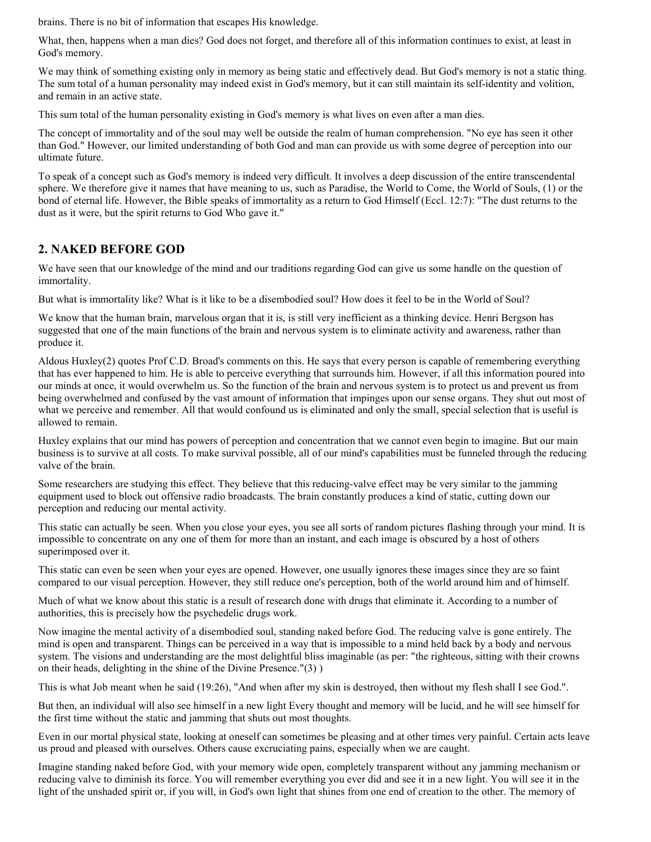brains. There is no bit of information that escapes His knowledge.

What, then, happens when a man dies? God does not forget, and therefore all of this information continues to exist, at least in God's memory.

We may think of something existing only in memory as being static and effectively dead. But God's memory is not a static thing. The sum total of a human personality may indeed exist in God's memory, but it can still maintain its self-identity and volition, and remain in an active state.

This sum total of the human personality existing in God's memory is what lives on even after a man dies.

The concept of immortality and of the soul may well be outside the realm of human comprehension. "No eye has seen it other than God." However, our limited understanding of both God and man can provide us with some degree of perception into our ultimate future.

To speak of a concept such as God's memory is indeed very difficult. It involves a deep discussion of the entire transcendental sphere. We therefore give it names that have meaning to us, such as Paradise, the World to Come, the World of Souls, (1) or the bond of eternal life. However, the Bible speaks of immortality as a return to God Himself (Eccl. 12:7): "The dust returns to the dust as it were, but the spirit returns to God Who gave it."

## **2. NAKED BEFORE GOD**

We have seen that our knowledge of the mind and our traditions regarding God can give us some handle on the question of immortality.

But what is immortality like? What is it like to be a disembodied soul? How does it feel to be in the World of Soul?

We know that the human brain, marvelous organ that it is, is still very inefficient as a thinking device. Henri Bergson has suggested that one of the main functions of the brain and nervous system is to eliminate activity and awareness, rather than produce it.

Aldous Huxley(2) quotes Prof C.D. Broad's comments on this. He says that every person is capable of remembering everything that has ever happened to him. He is able to perceive everything that surrounds him. However, if all this information poured into our minds at once, it would overwhelm us. So the function of the brain and nervous system is to protect us and prevent us from being overwhelmed and confused by the vast amount of information that impinges upon our sense organs. They shut out most of what we perceive and remember. All that would confound us is eliminated and only the small, special selection that is useful is allowed to remain.

Huxley explains that our mind has powers of perception and concentration that we cannot even begin to imagine. But our main business is to survive at all costs. To make survival possible, all of our mind's capabilities must be funneled through the reducing valve of the brain.

Some researchers are studying this effect. They believe that this reducing-valve effect may be very similar to the jamming equipment used to block out offensive radio broadcasts. The brain constantly produces a kind of static, cutting down our perception and reducing our mental activity.

This static can actually be seen. When you close your eyes, you see all sorts of random pictures flashing through your mind. It is impossible to concentrate on any one of them for more than an instant, and each image is obscured by a host of others superimposed over it.

This static can even be seen when your eyes are opened. However, one usually ignores these images since they are so faint compared to our visual perception. However, they still reduce one's perception, both of the world around him and of himself.

Much of what we know about this static is a result of research done with drugs that eliminate it. According to a number of authorities, this is precisely how the psychedelic drugs work.

Now imagine the mental activity of a disembodied soul, standing naked before God. The reducing valve is gone entirely. The mind is open and transparent. Things can be perceived in a way that is impossible to a mind held back by a body and nervous system. The visions and understanding are the most delightful bliss imaginable (as per: "the righteous, sitting with their crowns on their heads, delighting in the shine of the Divine Presence."(3) )

This is what Job meant when he said (19:26), "And when after my skin is destroyed, then without my flesh shall I see God.".

But then, an individual will also see himself in a new light Every thought and memory will be lucid, and he will see himself for the first time without the static and jamming that shuts out most thoughts.

Even in our mortal physical state, looking at oneself can sometimes be pleasing and at other times very painful. Certain acts leave us proud and pleased with ourselves. Others cause excruciating pains, especially when we are caught.

Imagine standing naked before God, with your memory wide open, completely transparent without any jamming mechanism or reducing valve to diminish its force. You will remember everything you ever did and see it in a new light. You will see it in the light of the unshaded spirit or, if you will, in God's own light that shines from one end of creation to the other. The memory of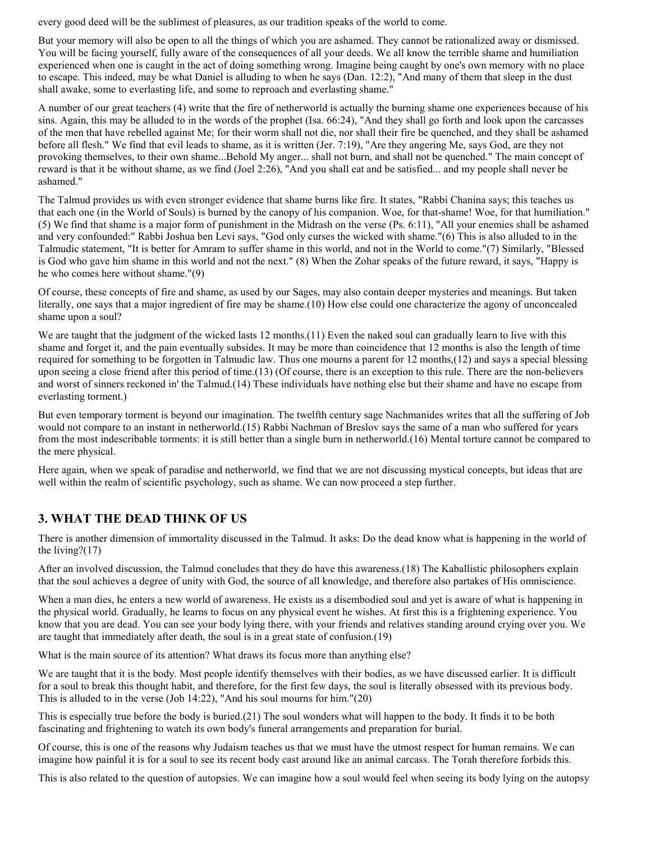every good deed will be the sublimest of pleasures, as our tradition speaks of the world to come.

But your memory will also be open to all the things of which you are ashamed. They cannot be rationalized away or dismissed. You will be facing yourself, fully aware of the consequences of all your deeds. We all know the terrible shame and humiliation experienced when one is caught in the act of doing something wrong. Imagine being caught by one's own memory with no place to escape. This indeed, may be what Daniel is alluding to when he says (Dan. 12:2), "And many of them that sleep in the dust shall awake, some to everlasting life, and some to reproach and everlasting shame."

A number of our great teachers (4) write that the fire of netherworld is actually the burning shame one experiences because of his sins. Again, this may be alluded to in the words of the prophet (Isa. 66:24), "And they shall go forth and look upon the carcasses of the men that have rebelled against Me; for their worm shall not die, nor shall their fire be quenched, and they shall be ashamed before all flesh." We find that evil leads to shame, as it is written (Jer. 7:19), "Are they angering Me, says God, are they not provoking themselves, to their own shame...Behold My anger... shall not burn, and shall not be quenched." The main concept of reward is that it be without shame, as we find (Joel 2:26), "And you shall eat and be satisfied... and my people shall never be ashamed."

The Talmud provides us with even stronger evidence that shame burns like fire. It states, "Rabbi Chanina says; this teaches us that each one (in the World of Souls) is burned by the canopy of his companion. Woe, for that-shame! Woe, for that humiliation." (5) We find that shame is a major form of punishment in the Midrash on the verse (Ps. 6:11), "All your enemies shall be ashamed and very confounded:" Rabbi Joshua ben Levi says, "God only curses the wicked with shame."(6) This is also alluded to in the Talmudic statement, "It is better for Amram to suffer shame in this world, and not in the World to come."(7) Similarly, "Blessed is God who gave him shame in this world and not the next." (8) When the Zohar speaks of the future reward, it says, "Happy is he who comes here without shame."(9)

Of course, these concepts of fire and shame, as used by our Sages, may also contain deeper mysteries and meanings. But taken literally, one says that a major ingredient of fire may be shame.(10) How else could one characterize the agony of unconcealed shame upon a soul?

We are taught that the judgment of the wicked lasts 12 months.(11) Even the naked soul can gradually learn to live with this shame and forget it, and the pain eventually subsides. It may be more than coincidence that 12 months is also the length of time required for something to be forgotten in Talmudic law. Thus one mourns a parent for 12 months,(12) and says a special blessing upon seeing a close friend after this period of time.(13) (Of course, there is an exception to this rule. There are the non-believers and worst of sinners reckoned in' the Talmud.(14) These individuals have nothing else but their shame and have no escape from everlasting torment.)

But even temporary torment is beyond our imagination. The twelfth century sage Nachmanides writes that all the suffering of Job would not compare to an instant in netherworld.(15) Rabbi Nachman of Breslov says the same of a man who suffered for years from the most indescribable torments: it is still better than a single burn in netherworld.(16) Mental torture cannot be compared to the mere physical.

Here again, when we speak of paradise and netherworld, we find that we are not discussing mystical concepts, but ideas that are well within the realm of scientific psychology, such as shame. We can now proceed a step further.

## **3. WHAT THE DEAD THINK OF US**

There is another dimension of immortality discussed in the Talmud. It asks: Do the dead know what is happening in the world of the living?(17)

After an involved discussion, the Talmud concludes that they do have this awareness.(18) The Kaballistic philosophers explain that the soul achieves a degree of unity with God, the source of all knowledge, and therefore also partakes of His omniscience.

When a man dies, he enters a new world of awareness. He exists as a disembodied soul and yet is aware of what is happening in the physical world. Gradually, he learns to focus on any physical event he wishes. At first this is a frightening experience. You know that you are dead. You can see your body lying there, with your friends and relatives standing around crying over you. We are taught that immediately after death, the soul is in a great state of confusion.(19)

What is the main source of its attention? What draws its focus more than anything else?

We are taught that it is the body. Most people identify themselves with their bodies, as we have discussed earlier. It is difficult for a soul to break this thought habit, and therefore, for the first few days, the soul is literally obsessed with its previous body. This is alluded to in the verse (Job 14:22), "And his soul mourns for him."(20)

This is especially true before the body is buried.(21) The soul wonders what will happen to the body. It finds it to be both fascinating and frightening to watch its own body's funeral arrangements and preparation for burial.

Of course, this is one of the reasons why Judaism teaches us that we must have the utmost respect for human remains. We can imagine how painful it is for a soul to see its recent body cast around like an animal carcass. The Torah therefore forbids this.

This is also related to the question of autopsies. We can imagine how a soul would feel when seeing its body lying on the autopsy